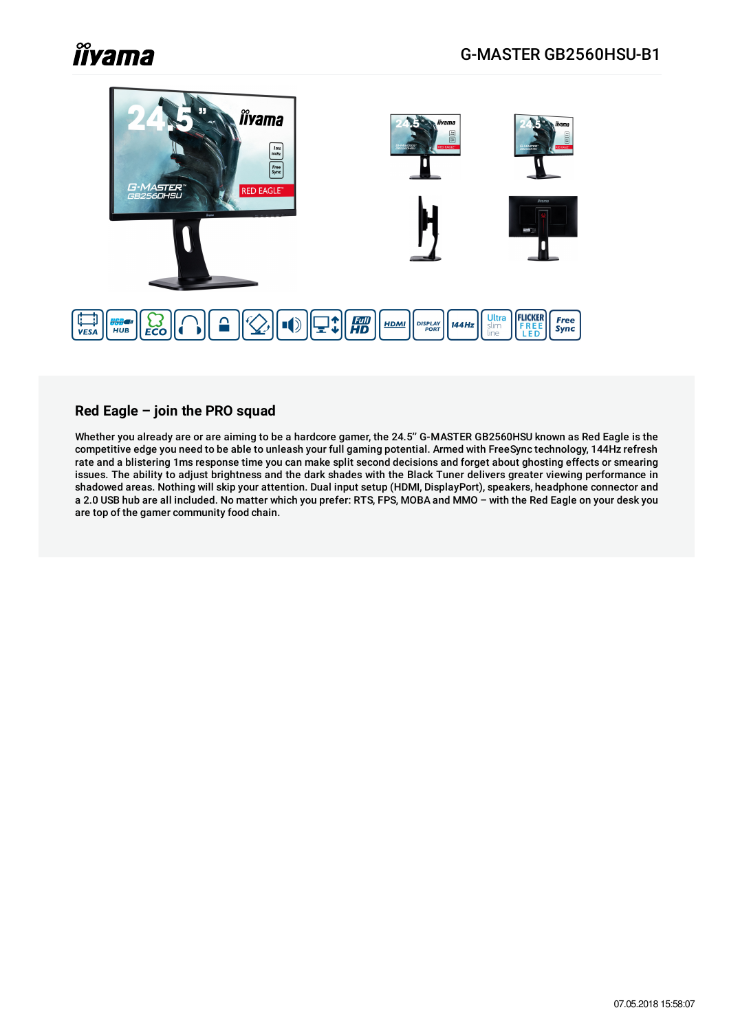

### **Red Eagle – join the PRO squad**

Whether you already are or are aiming to be a hardcore gamer, the 24.5'' G-MASTER GB2560HSU known as Red Eagle is the competitive edge you need to be able to unleash your full gaming potential. Armed with FreeSync technology, 144Hz refresh rate and a blistering 1ms response time you can make split second decisions and forget about ghosting effects or smearing issues. The ability to adjust brightness and the dark shades with the Black Tuner delivers greater viewing performance in shadowed areas. Nothing will skip your attention. Dual input setup (HDMI, DisplayPort), speakers, headphone connector and a 2.0 USB hub are all included. No matter which you prefer: RTS, FPS, MOBA and MMO – with the Red Eagle on your desk you are top of the gamer community food chain.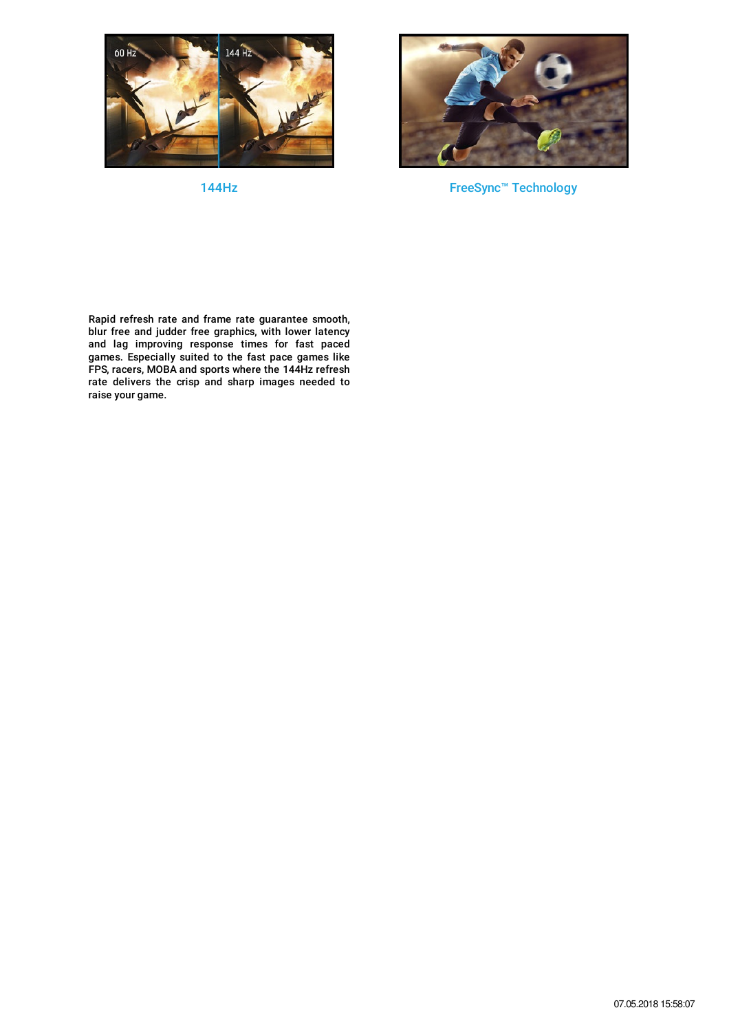

144Hz



FreeSync™ Technology

Rapid refresh rate and frame rate guarantee smooth, blur free and judder free graphics, with lower latency and lag improving response times for fast paced games. Especially suited to the fast pace games like FPS, racers, MOBA and sports where the 144Hz refresh rate delivers the crisp and sharp images needed to raise your game.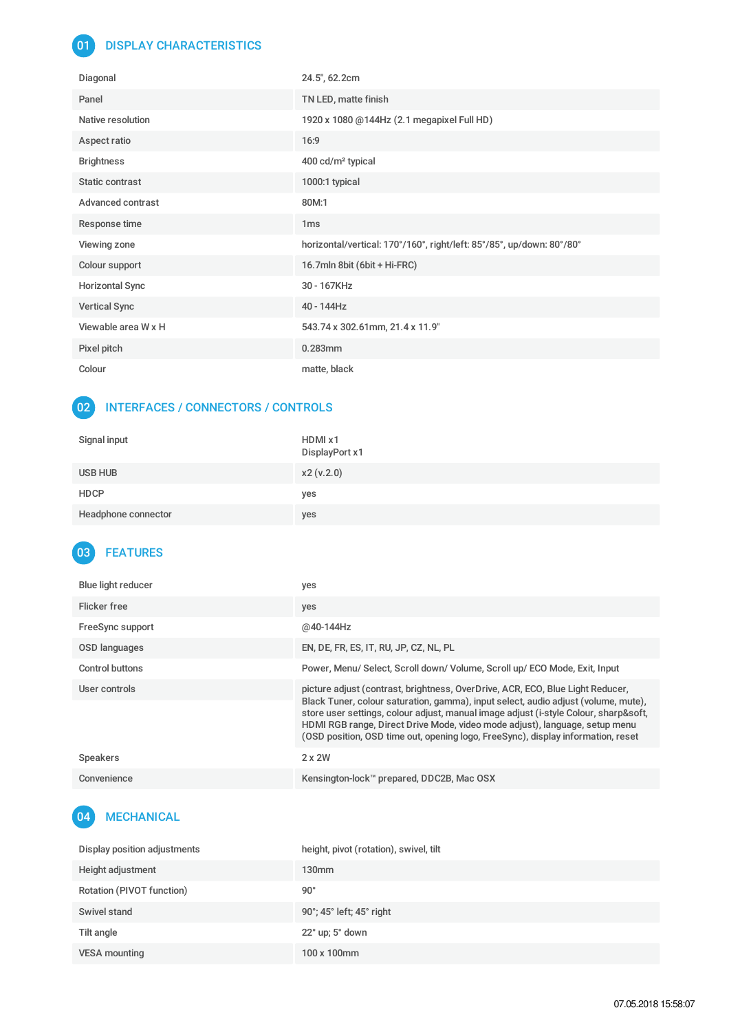### 01 DISPLAY CHARACTERISTICS

| Diagonal               | 24.5", 62.2cm                                                         |
|------------------------|-----------------------------------------------------------------------|
| Panel                  | TN LED, matte finish                                                  |
| Native resolution      | 1920 x 1080 @144Hz (2.1 megapixel Full HD)                            |
| Aspect ratio           | 16:9                                                                  |
| <b>Brightness</b>      | 400 cd/m <sup>2</sup> typical                                         |
| Static contrast        | 1000:1 typical                                                        |
| Advanced contrast      | 80M:1                                                                 |
| Response time          | 1 <sub>ms</sub>                                                       |
| Viewing zone           | horizontal/vertical: 170°/160°, right/left: 85°/85°, up/down: 80°/80° |
| Colour support         | 16.7mln 8bit (6bit + Hi-FRC)                                          |
| <b>Horizontal Sync</b> | 30 - 167KHz                                                           |
| <b>Vertical Sync</b>   | 40 - 144Hz                                                            |
| Viewable area W x H    | 543.74 x 302.61mm, 21.4 x 11.9"                                       |
| Pixel pitch            | $0.283$ mm                                                            |
| Colour                 | matte, black                                                          |

#### 02 INTERFACES / CONNECTORS / CONTROLS

| Signal input        | HDMI x1<br>DisplayPort x1 |
|---------------------|---------------------------|
| USB HUB             | x2(v.2.0)                 |
| <b>HDCP</b>         | yes                       |
| Headphone connector | yes                       |

## 03 FEATURES

| <b>Blue light reducer</b> | yes                                                                                                                                                                                                                                                                                                                                                                                                                             |
|---------------------------|---------------------------------------------------------------------------------------------------------------------------------------------------------------------------------------------------------------------------------------------------------------------------------------------------------------------------------------------------------------------------------------------------------------------------------|
| Flicker free              | yes                                                                                                                                                                                                                                                                                                                                                                                                                             |
| FreeSync support          | @40-144Hz                                                                                                                                                                                                                                                                                                                                                                                                                       |
| OSD languages             | EN, DE, FR, ES, IT, RU, JP, CZ, NL, PL                                                                                                                                                                                                                                                                                                                                                                                          |
| Control buttons           | Power, Menu/ Select, Scroll down/ Volume, Scroll up/ ECO Mode, Exit, Input                                                                                                                                                                                                                                                                                                                                                      |
| User controls             | picture adjust (contrast, brightness, OverDrive, ACR, ECO, Blue Light Reducer,<br>Black Tuner, colour saturation, gamma), input select, audio adjust (volume, mute),<br>store user settings, colour adjust, manual image adjust (i-style Colour, sharp&soft,<br>HDMI RGB range, Direct Drive Mode, video mode adjust), language, setup menu<br>(OSD position, OSD time out, opening logo, FreeSync), display information, reset |
| <b>Speakers</b>           | $2 \times 2W$                                                                                                                                                                                                                                                                                                                                                                                                                   |
| Convenience               | Kensington-lock™ prepared, DDC2B, Mac OSX                                                                                                                                                                                                                                                                                                                                                                                       |

# 04 MECHANICAL

| Display position adjustments | height, pivot (rotation), swivel, tilt |
|------------------------------|----------------------------------------|
| Height adjustment            | 130 <sub>mm</sub>                      |
| Rotation (PIVOT function)    | $90^{\circ}$                           |
| Swivel stand                 | 90°; 45° left; 45° right               |
| Tilt angle                   | $22^{\circ}$ up; $5^{\circ}$ down      |
| <b>VESA mounting</b>         | 100 x 100mm                            |